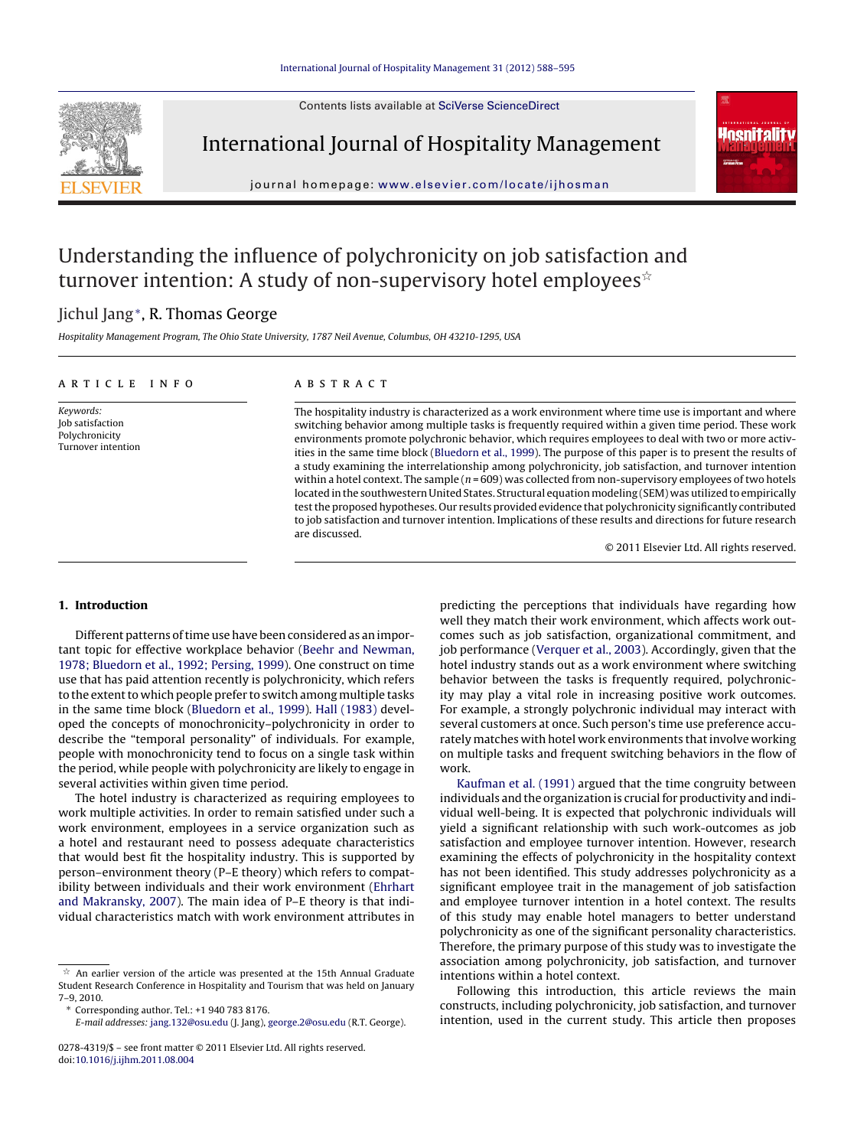Contents lists available at SciVerse [ScienceDirect](http://www.sciencedirect.com/science/journal/02784319)



International Journal of Hospitality Management



iournal homepage: www.elsevier.com/locate/iihosman

## Understanding the influence of polychronicity on job satisfaction and turnover intention: A study of non-supervisory hotel employees $^{\scriptscriptstyle\mathrm{\text{th}}}$

### Jichul Jang∗, R. Thomas George

Hospitality Management Program, The Ohio State University, 1787 Neil Avenue, Columbus, OH 43210-1295, USA

| ARTICLE INFO                                                          | <b>ABSTRACT</b>                                                                                                                                                                                                                                                                                                                                                                                                                                                                                                                                                                                                                                                                                                                                                                                                                                                                                                                                                                                                          |
|-----------------------------------------------------------------------|--------------------------------------------------------------------------------------------------------------------------------------------------------------------------------------------------------------------------------------------------------------------------------------------------------------------------------------------------------------------------------------------------------------------------------------------------------------------------------------------------------------------------------------------------------------------------------------------------------------------------------------------------------------------------------------------------------------------------------------------------------------------------------------------------------------------------------------------------------------------------------------------------------------------------------------------------------------------------------------------------------------------------|
| Keywords:<br>Job satisfaction<br>Polychronicity<br>Turnover intention | The hospitality industry is characterized as a work environment where time use is important and where<br>switching behavior among multiple tasks is frequently required within a given time period. These work<br>environments promote polychronic behavior, which requires employees to deal with two or more activ-<br>ities in the same time block (Bluedorn et al., 1999). The purpose of this paper is to present the results of<br>a study examining the interrelationship among polychronicity, job satisfaction, and turnover intention<br>within a hotel context. The sample $(n = 609)$ was collected from non-supervisory employees of two hotels<br>located in the southwestern United States. Structural equation modeling (SEM) was utilized to empirically<br>test the proposed hypotheses. Our results provided evidence that polychronicity significantly contributed<br>to job satisfaction and turnover intention. Implications of these results and directions for future research<br>are discussed. |
|                                                                       | © 2011 Elsevier Ltd. All rights reserved.                                                                                                                                                                                                                                                                                                                                                                                                                                                                                                                                                                                                                                                                                                                                                                                                                                                                                                                                                                                |

#### **1. Introduction**

Different patterns of time use have been considered as an important topic for effective workplace behavior [\(Beehr](#page--1-0) [and](#page--1-0) [Newman,](#page--1-0) [1978;](#page--1-0) [Bluedorn](#page--1-0) et [al.,](#page--1-0) [1992;](#page--1-0) [Persing,](#page--1-0) [1999\).](#page--1-0) One construct on time use that has paid attention recently is polychronicity, which refers to the extent to which people prefer to switch among multiple tasks in the same time block ([Bluedorn](#page--1-0) et [al.,](#page--1-0) [1999\).](#page--1-0) [Hall](#page--1-0) [\(1983\)](#page--1-0) developed the concepts of monochronicity–polychronicity in order to describe the "temporal personality" of individuals. For example, people with monochronicity tend to focus on a single task within the period, while people with polychronicity are likely to engage in several activities within given time period.

The hotel industry is characterized as requiring employees to work multiple activities. In order to remain satisfied under such a work environment, employees in a service organization such as a hotel and restaurant need to possess adequate characteristics that would best fit the hospitality industry. This is supported by person–environment theory (P–E theory) which refers to compatibility between individuals and their work environment [\(Ehrhart](#page--1-0) [and](#page--1-0) [Makransky,](#page--1-0) [2007\).](#page--1-0) The main idea of P–E theory is that individual characteristics match with work environment attributes in predicting the perceptions that individuals have regarding how well they match their work environment, which affects work outcomes such as job satisfaction, organizational commitment, and job performance [\(Verquer](#page--1-0) et [al.,](#page--1-0) [2003\).](#page--1-0) Accordingly, given that the hotel industry stands out as a work environment where switching behavior between the tasks is frequently required, polychronicity may play a vital role in increasing positive work outcomes. For example, a strongly polychronic individual may interact with several customers at once. Such person's time use preference accurately matches with hotel work environments that involve working on multiple tasks and frequent switching behaviors in the flow of work.

[Kaufman](#page--1-0) et [al.](#page--1-0) [\(1991\)](#page--1-0) argued that the time congruity between individuals and the organization is crucial for productivity and individual well-being. It is expected that polychronic individuals will yield a significant relationship with such work-outcomes as job satisfaction and employee turnover intention. However, research examining the effects of polychronicity in the hospitality context has not been identified. This study addresses polychronicity as a significant employee trait in the management of job satisfaction and employee turnover intention in a hotel context. The results of this study may enable hotel managers to better understand polychronicity as one of the significant personality characteristics. Therefore, the primary purpose of this study was to investigate the association among polychronicity, job satisfaction, and turnover intentions within a hotel context.

Following this introduction, this article reviews the main constructs, including polychronicity, job satisfaction, and turnover intention, used in the current study. This article then proposes

 $\stackrel{\scriptscriptstyle{\times}}{\scriptscriptstyle{\times}}$  An earlier version of the article was presented at the 15th Annual Graduate Student Research Conference in Hospitality and Tourism that was held on January 7–9, 2010.

<sup>∗</sup> Corresponding author. Tel.: +1 940 783 8176.

E-mail addresses: [jang.132@osu.edu](mailto:jang.132@osu.edu) (J. Jang), [george.2@osu.edu](mailto:george.2@osu.edu) (R.T. George).

<sup>0278-4319/\$</sup> – see front matter © 2011 Elsevier Ltd. All rights reserved. doi:[10.1016/j.ijhm.2011.08.004](dx.doi.org/10.1016/j.ijhm.2011.08.004)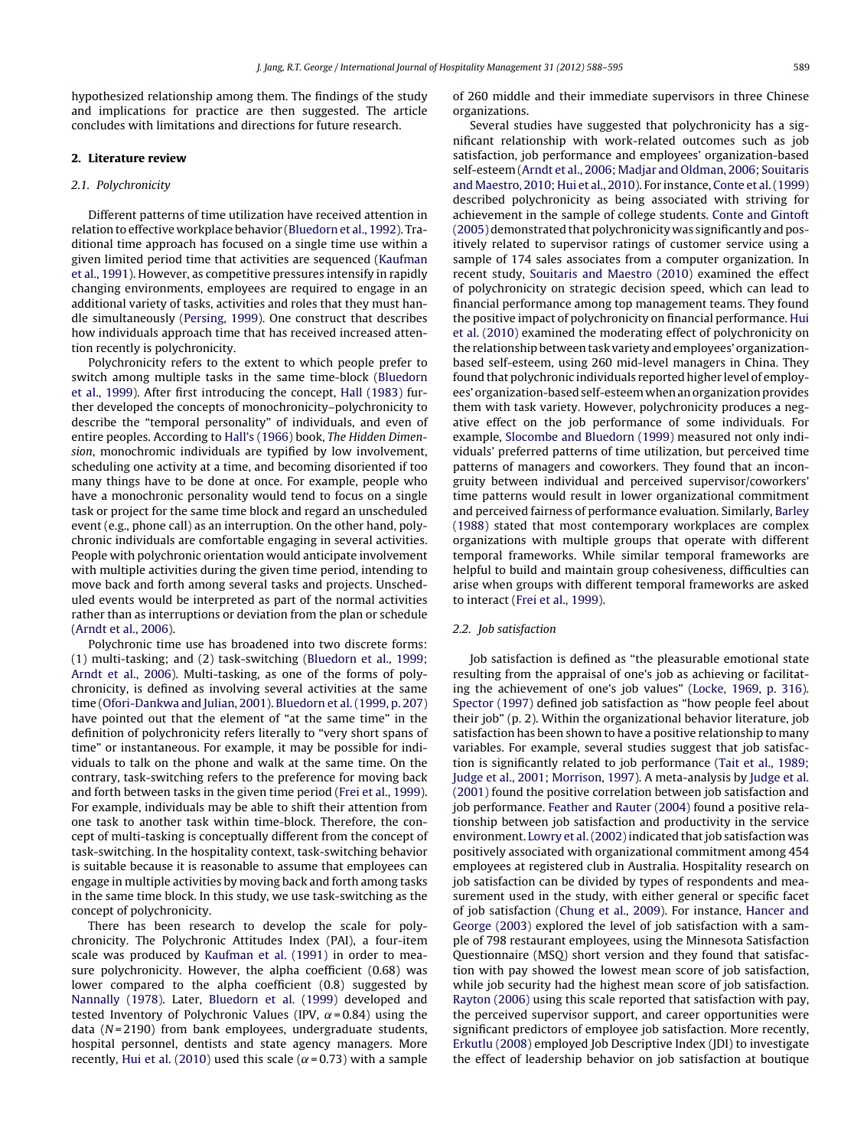hypothesized relationship among them. The findings of the study and implications for practice are then suggested. The article concludes with limitations and directions for future research.

#### **2. Literature review**

#### 2.1. Polychronicity

Different patterns of time utilization have received attention in relation to effective workplace behavior [\(Bluedorn](#page--1-0) et [al.,](#page--1-0) [1992\).](#page--1-0) Traditional time approach has focused on a single time use within a given limited period time that activities are sequenced [\(Kaufman](#page--1-0) et [al.,](#page--1-0) [1991\).](#page--1-0) However, as competitive pressures intensify in rapidly changing environments, employees are required to engage in an additional variety of tasks, activities and roles that they must handle simultaneously [\(Persing,](#page--1-0) [1999\).](#page--1-0) One construct that describes how individuals approach time that has received increased attention recently is polychronicity.

Polychronicity refers to the extent to which people prefer to switch among multiple tasks in the same time-block ([Bluedorn](#page--1-0) et [al.,](#page--1-0) [1999\).](#page--1-0) After first introducing the concept, [Hall](#page--1-0) [\(1983\)](#page--1-0) further developed the concepts of monochronicity–polychronicity to describe the "temporal personality" of individuals, and even of entire peoples. According to [Hall's](#page--1-0) [\(1966\)](#page--1-0) book, The Hidden Dimension, monochromic individuals are typified by low involvement, scheduling one activity at a time, and becoming disoriented if too many things have to be done at once. For example, people who have a monochronic personality would tend to focus on a single task or project for the same time block and regard an unscheduled event (e.g., phone call) as an interruption. On the other hand, polychronic individuals are comfortable engaging in several activities. People with polychronic orientation would anticipate involvement with multiple activities during the given time period, intending to move back and forth among several tasks and projects. Unscheduled events would be interpreted as part of the normal activities rather than as interruptions or deviation from the plan or schedule ([Arndt](#page--1-0) et [al.,](#page--1-0) [2006\).](#page--1-0)

Polychronic time use has broadened into two discrete forms: (1) multi-tasking; and (2) task-switching ([Bluedorn](#page--1-0) et [al.,](#page--1-0) [1999;](#page--1-0) [Arndt](#page--1-0) et [al.,](#page--1-0) [2006\).](#page--1-0) Multi-tasking, as one of the forms of polychronicity, is defined as involving several activities at the same time [\(Ofori-Dankwa](#page--1-0) [and](#page--1-0) [Julian,](#page--1-0) [2001\).](#page--1-0) [Bluedorn](#page--1-0) et [al.\(1999,](#page--1-0) [p.](#page--1-0) [207\)](#page--1-0) have pointed out that the element of "at the same time" in the definition of polychronicity refers literally to "very short spans of time" or instantaneous. For example, it may be possible for individuals to talk on the phone and walk at the same time. On the contrary, task-switching refers to the preference for moving back and forth between tasks in the given time period [\(Frei](#page--1-0) et [al.,](#page--1-0) [1999\).](#page--1-0) For example, individuals may be able to shift their attention from one task to another task within time-block. Therefore, the concept of multi-tasking is conceptually different from the concept of task-switching. In the hospitality context, task-switching behavior is suitable because it is reasonable to assume that employees can engage in multiple activities by moving back and forth among tasks in the same time block. In this study, we use task-switching as the concept of polychronicity.

There has been research to develop the scale for polychronicity. The Polychronic Attitudes Index (PAI), a four-item scale was produced by [Kaufman](#page--1-0) et [al.](#page--1-0) [\(1991\)](#page--1-0) in order to measure polychronicity. However, the alpha coefficient (0.68) was lower compared to the alpha coefficient (0.8) suggested by [Nannally](#page--1-0) [\(1978\).](#page--1-0) Later, [Bluedorn](#page--1-0) et [al.](#page--1-0) [\(1999\)](#page--1-0) developed and tested Inventory of Polychronic Values (IPV,  $\alpha$ = 0.84) using the data ( $N = 2190$ ) from bank employees, undergraduate students, hospital personnel, dentists and state agency managers. More recently, [Hui](#page--1-0) et [al.](#page--1-0) [\(2010\)](#page--1-0) used this scale ( $\alpha$  = 0.73) with a sample of 260 middle and their immediate supervisors in three Chinese organizations.

Several studies have suggested that polychronicity has a significant relationship with work-related outcomes such as job satisfaction, job performance and employees' organization-based self-esteem [\(Arndt](#page--1-0) et [al.,](#page--1-0) [2006;](#page--1-0) [Madjar](#page--1-0) [and](#page--1-0) [Oldman,](#page--1-0) [2006;](#page--1-0) [Souitaris](#page--1-0) [and](#page--1-0) [Maestro,](#page--1-0) [2010;](#page--1-0) [Hui](#page--1-0) et [al.,](#page--1-0) [2010\).](#page--1-0) For instance, [Conte](#page--1-0) et [al.\(1999\)](#page--1-0) described polychronicity as being associated with striving for achievement in the sample of college students. [Conte](#page--1-0) [and](#page--1-0) [Gintoft](#page--1-0) [\(2005\)](#page--1-0) demonstrated that polychronicity was significantly and positively related to supervisor ratings of customer service using a sample of 174 sales associates from a computer organization. In recent study, [Souitaris](#page--1-0) [and](#page--1-0) [Maestro](#page--1-0) [\(2010\)](#page--1-0) examined the effect of polychronicity on strategic decision speed, which can lead to financial performance among top management teams. They found the positive impact of polychronicity on financial performance. [Hui](#page--1-0) et [al.](#page--1-0) [\(2010\)](#page--1-0) examined the moderating effect of polychronicity on the relationship between task variety and employees' organizationbased self-esteem, using 260 mid-level managers in China. They found that polychronic individuals reported higher level of employees' organization-based self-esteem when an organization provides them with task variety. However, polychronicity produces a negative effect on the job performance of some individuals. For example, [Slocombe](#page--1-0) [and](#page--1-0) [Bluedorn](#page--1-0) [\(1999\)](#page--1-0) measured not only individuals' preferred patterns of time utilization, but perceived time patterns of managers and coworkers. They found that an incongruity between individual and perceived supervisor/coworkers' time patterns would result in lower organizational commitment and perceived fairness of performance evaluation. Similarly, [Barley](#page--1-0) [\(1988\)](#page--1-0) stated that most contemporary workplaces are complex organizations with multiple groups that operate with different temporal frameworks. While similar temporal frameworks are helpful to build and maintain group cohesiveness, difficulties can arise when groups with different temporal frameworks are asked to interact [\(Frei](#page--1-0) et [al.,](#page--1-0) [1999\).](#page--1-0)

#### 2.2. Job satisfaction

Job satisfaction is defined as "the pleasurable emotional state resulting from the appraisal of one's job as achieving or facilitating the achievement of one's job values" ([Locke,](#page--1-0) [1969,](#page--1-0) [p.](#page--1-0) [316\).](#page--1-0) [Spector](#page--1-0) [\(1997\)](#page--1-0) defined job satisfaction as "how people feel about their job" (p. 2). Within the organizational behavior literature, job satisfaction has been shown to have a positive relationship to many variables. For example, several studies suggest that job satisfaction is significantly related to job performance [\(Tait](#page--1-0) et [al.,](#page--1-0) [1989;](#page--1-0) [Judge](#page--1-0) et [al.,](#page--1-0) [2001;](#page--1-0) [Morrison,](#page--1-0) [1997\).](#page--1-0) A meta-analysis by [Judge](#page--1-0) et [al.](#page--1-0) [\(2001\)](#page--1-0) found the positive correlation between job satisfaction and job performance. [Feather](#page--1-0) [and](#page--1-0) [Rauter](#page--1-0) [\(2004\)](#page--1-0) found a positive relationship between job satisfaction and productivity in the service environment. [Lowry](#page--1-0) et al. (2002) indicated that job satisfaction was positively associated with organizational commitment among 454 employees at registered club in Australia. Hospitality research on job satisfaction can be divided by types of respondents and measurement used in the study, with either general or specific facet of job satisfaction ([Chung](#page--1-0) et [al.,](#page--1-0) [2009\).](#page--1-0) For instance, [Hancer](#page--1-0) [and](#page--1-0) [George](#page--1-0) [\(2003\)](#page--1-0) explored the level of job satisfaction with a sample of 798 restaurant employees, using the Minnesota Satisfaction Questionnaire (MSQ) short version and they found that satisfaction with pay showed the lowest mean score of job satisfaction, while job security had the highest mean score of job satisfaction. [Rayton](#page--1-0) [\(2006\)](#page--1-0) using this scale reported that satisfaction with pay, the perceived supervisor support, and career opportunities were significant predictors of employee job satisfaction. More recently, [Erkutlu](#page--1-0) [\(2008\)](#page--1-0) employed Job Descriptive Index (JDI) to investigate the effect of leadership behavior on job satisfaction at boutique